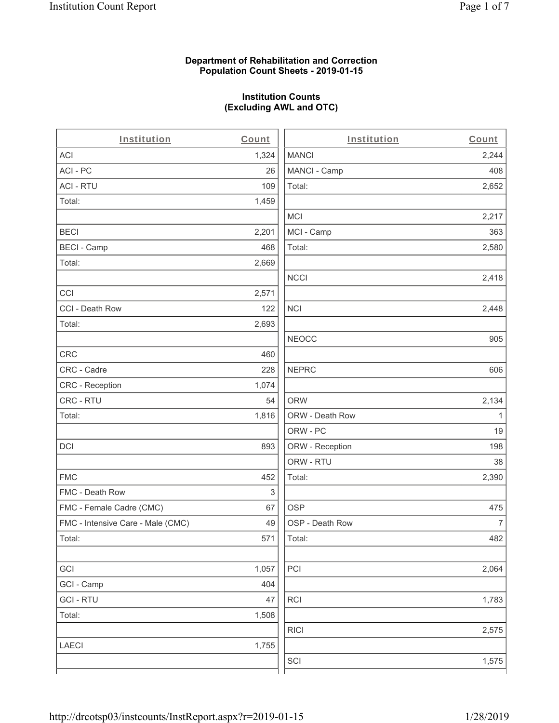# **Department of Rehabilitation and Correction Population Count Sheets - 2019-01-15**

# **Institution Counts (Excluding AWL and OTC)**

. .

| Institution                       | Count | Institution     | Count        |
|-----------------------------------|-------|-----------------|--------------|
| ACI                               | 1,324 | <b>MANCI</b>    | 2,244        |
| ACI-PC                            | 26    | MANCI - Camp    | 408          |
| <b>ACI - RTU</b>                  | 109   | Total:          | 2,652        |
| Total:                            | 1,459 |                 |              |
|                                   |       | MCI             | 2,217        |
| <b>BECI</b>                       | 2,201 | MCI - Camp      | 363          |
| <b>BECI - Camp</b>                | 468   | Total:          | 2,580        |
| Total:                            | 2,669 |                 |              |
|                                   |       | <b>NCCI</b>     | 2,418        |
| CCI                               | 2,571 |                 |              |
| CCI - Death Row                   | 122   | <b>NCI</b>      | 2,448        |
| Total:                            | 2,693 |                 |              |
|                                   |       | <b>NEOCC</b>    | 905          |
| <b>CRC</b>                        | 460   |                 |              |
| CRC - Cadre                       | 228   | <b>NEPRC</b>    | 606          |
| CRC - Reception                   | 1,074 |                 |              |
| CRC - RTU                         | 54    | <b>ORW</b>      | 2,134        |
| Total:                            | 1,816 | ORW - Death Row | $\mathbf{1}$ |
|                                   |       | ORW - PC        | 19           |
| DCI                               | 893   | ORW - Reception | 198          |
|                                   |       | ORW - RTU       | 38           |
| <b>FMC</b>                        | 452   | Total:          | 2,390        |
| FMC - Death Row                   | 3     |                 |              |
| FMC - Female Cadre (CMC)          | 67    | <b>OSP</b>      | 475          |
| FMC - Intensive Care - Male (CMC) | 49    | OSP - Death Row | 7            |
| Total:                            | 571   | Total:          | 482          |
|                                   |       |                 |              |
| GCI                               | 1,057 | PCI             | 2,064        |
| GCI - Camp                        | 404   |                 |              |
| <b>GCI-RTU</b>                    | 47    | <b>RCI</b>      | 1,783        |
| Total:                            | 1,508 |                 |              |
|                                   |       | RICI            | 2,575        |
| <b>LAECI</b>                      | 1,755 |                 |              |
|                                   |       | SCI             | 1,575        |
|                                   |       |                 |              |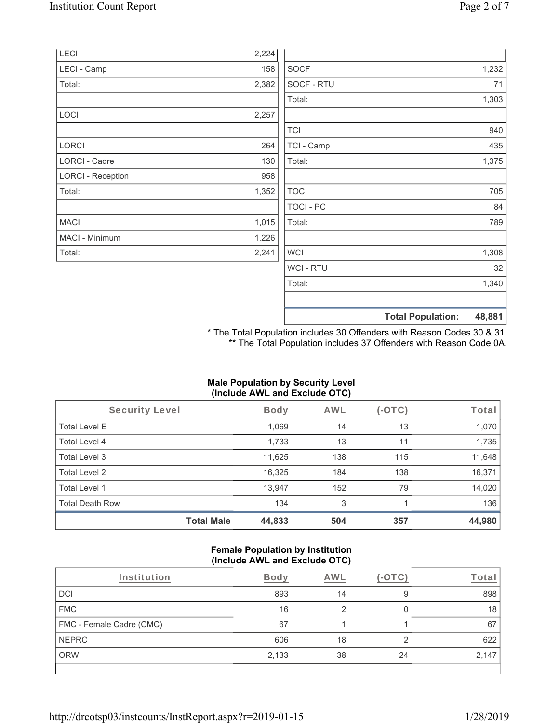|                          |       |                  | <b>Total Population:</b> | 48,881 |
|--------------------------|-------|------------------|--------------------------|--------|
|                          |       |                  |                          |        |
|                          |       | Total:           |                          | 1,340  |
|                          |       | WCI - RTU        |                          | 32     |
| Total:                   | 2,241 | <b>WCI</b>       |                          | 1,308  |
| MACI - Minimum           | 1,226 |                  |                          |        |
| <b>MACI</b>              | 1,015 | Total:           |                          | 789    |
|                          |       | <b>TOCI - PC</b> |                          | 84     |
| Total:                   | 1,352 | <b>TOCI</b>      |                          | 705    |
| <b>LORCI - Reception</b> | 958   |                  |                          |        |
| LORCI - Cadre            | 130   | Total:           |                          | 1,375  |
| <b>LORCI</b>             | 264   | TCI - Camp       |                          | 435    |
|                          |       | <b>TCI</b>       |                          | 940    |
| LOCI                     | 2,257 |                  |                          |        |
|                          |       | Total:           |                          | 1,303  |
| Total:                   | 2,382 | SOCF - RTU       |                          | 71     |
| LECI - Camp              | 158   | <b>SOCF</b>      |                          | 1,232  |
| LECI                     | 2,224 |                  |                          |        |

\* The Total Population includes 30 Offenders with Reason Codes 30 & 31. \*\* The Total Population includes 37 Offenders with Reason Code 0A.

# **Male Population by Security Level (Include AWL and Exclude OTC)**

| Security Level         |                   | <b>Body</b> | AWL | (-OTC) | Total  |
|------------------------|-------------------|-------------|-----|--------|--------|
| <b>Total Level E</b>   |                   | 1,069       | 14  | 13     | 1,070  |
| Total Level 4          |                   | 1,733       | 13  | 11     | 1,735  |
| Total Level 3          |                   | 11,625      | 138 | 115    | 11,648 |
| Total Level 2          |                   | 16,325      | 184 | 138    | 16,371 |
| Total Level 1          |                   | 13,947      | 152 | 79     | 14,020 |
| <b>Total Death Row</b> |                   | 134         | 3   |        | 136    |
|                        | <b>Total Male</b> | 44,833      | 504 | 357    | 44,980 |

#### **Female Population by Institution (Include AWL and Exclude OTC)**

| Institution              | <b>Body</b> | AWL |    | T <u>ota</u> r |
|--------------------------|-------------|-----|----|----------------|
| <b>DCI</b>               | 893         | 14  | 9  | 898            |
| <b>FMC</b>               | 16          |     |    | 18             |
| FMC - Female Cadre (CMC) | 67          |     |    | 67             |
| <b>NEPRC</b>             | 606         | 18  | ◠  | 622            |
| <b>ORW</b>               | 2,133       | 38  | 24 | 2,147          |
|                          |             |     |    |                |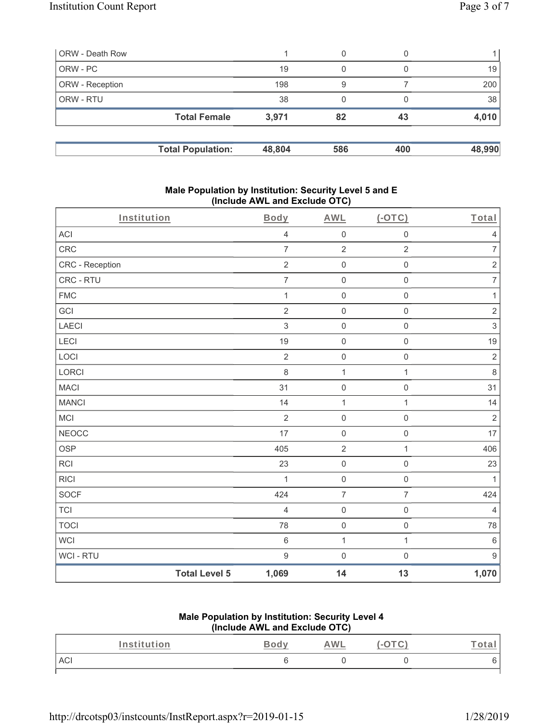| ORW - Death Row |                          |        | 0   |     |        |
|-----------------|--------------------------|--------|-----|-----|--------|
| ORW-PC          |                          | 19     | 0   |     | 19     |
| ORW - Reception |                          | 198    | 9   |     | 200    |
| ORW - RTU       |                          | 38     |     |     | 38     |
|                 | <b>Total Female</b>      | 3,971  | 82  | 43  | 4,010  |
|                 |                          |        |     |     |        |
|                 | <b>Total Population:</b> | 48,804 | 586 | 400 | 48,990 |

### **Male Population by Institution: Security Level 5 and E (Include AWL and Exclude OTC)**

| Institution     |                      | <b>Body</b>    | <b>AWL</b>          | $(-OTC)$            | Total            |
|-----------------|----------------------|----------------|---------------------|---------------------|------------------|
| ACI             |                      | $\sqrt{4}$     | $\mathsf{O}\xspace$ | $\mathbf 0$         | $\sqrt{4}$       |
| CRC             |                      | $\overline{7}$ | $\overline{2}$      | $\overline{2}$      | $\overline{7}$   |
| CRC - Reception |                      | $\overline{2}$ | $\mathsf{O}\xspace$ | $\mathsf{O}\xspace$ | $\sqrt{2}$       |
| CRC - RTU       |                      | $\overline{7}$ | $\mathsf{O}\xspace$ | $\mathsf 0$         | $\boldsymbol{7}$ |
| <b>FMC</b>      |                      | $\mathbf{1}$   | $\mathsf{O}\xspace$ | $\mathsf{O}\xspace$ | $\mathbf{1}$     |
| GCI             |                      | $\overline{2}$ | $\mathsf{O}\xspace$ | $\mathsf{O}\xspace$ | $\sqrt{2}$       |
| LAECI           |                      | $\mathfrak{S}$ | $\mathsf{O}$        | $\mathsf{O}\xspace$ | $\,$ 3 $\,$      |
| LECI            |                      | 19             | $\mathsf{O}$        | $\mathsf{O}\xspace$ | 19               |
| LOCI            |                      | $\overline{2}$ | $\mathsf{O}$        | $\mathsf{O}\xspace$ | $\sqrt{2}$       |
| LORCI           |                      | 8              | $\mathbf{1}$        | $\mathbf{1}$        | $\,8\,$          |
| <b>MACI</b>     |                      | 31             | $\mathsf{O}\xspace$ | $\mathsf 0$         | 31               |
| <b>MANCI</b>    |                      | 14             | $\mathbf{1}$        | $\mathbf{1}$        | 14               |
| MCI             |                      | $\overline{2}$ | $\mathsf 0$         | $\mathsf 0$         | $\sqrt{2}$       |
| <b>NEOCC</b>    |                      | 17             | $\mathsf{O}\xspace$ | $\mathsf{O}\xspace$ | 17               |
| <b>OSP</b>      |                      | 405            | $\overline{2}$      | $\mathbf{1}$        | 406              |
| <b>RCI</b>      |                      | 23             | $\mathsf{O}\xspace$ | $\mathsf{O}\xspace$ | 23               |
| <b>RICI</b>     |                      | 1              | $\mathsf{O}\xspace$ | $\mathsf 0$         | 1                |
| <b>SOCF</b>     |                      | 424            | $\overline{7}$      | $\overline{7}$      | 424              |
| <b>TCI</b>      |                      | $\overline{4}$ | $\mathsf{O}\xspace$ | $\mathsf 0$         | $\overline{4}$   |
| <b>TOCI</b>     |                      | 78             | $\mathsf{O}\xspace$ | $\mathsf{O}\xspace$ | 78               |
| <b>WCI</b>      |                      | $\,6\,$        | $\mathbf{1}$        | $\mathbf{1}$        | $\,6\,$          |
| WCI - RTU       |                      | $9\,$          | $\mathsf{O}\xspace$ | $\mathsf{O}\xspace$ | $9\,$            |
|                 | <b>Total Level 5</b> | 1,069          | 14                  | 13                  | 1,070            |

# **Male Population by Institution: Security Level 4 (Include AWL and Exclude OTC)**

| Institution | $\sim$<br>N V | <b>AWL</b> | ota. |
|-------------|---------------|------------|------|
| ACI         |               |            |      |
|             |               |            |      |

http://drcotsp03/instcounts/InstReport.aspx?r=2019-01-15 1/28/2019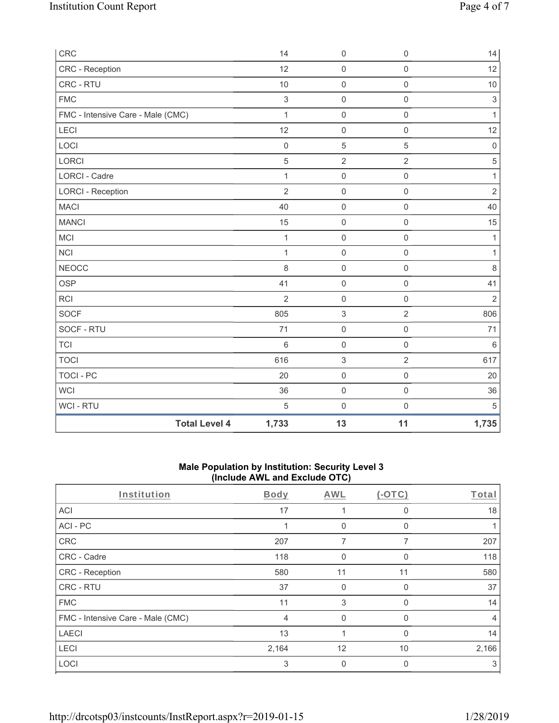| CRC                               | 14              | $\mathsf{O}\xspace$ | $\mathbf 0$         | 14             |
|-----------------------------------|-----------------|---------------------|---------------------|----------------|
| CRC - Reception                   | 12              | $\mathsf{O}\xspace$ | $\mathsf{O}\xspace$ | 12             |
| CRC - RTU                         | 10              | $\mathbf 0$         | $\mathsf{O}\xspace$ | 10             |
| <b>FMC</b>                        | $\mathfrak{S}$  | $\mathsf{O}\xspace$ | $\mathbf 0$         | $\mathfrak{S}$ |
| FMC - Intensive Care - Male (CMC) | $\mathbf{1}$    | $\mathbf 0$         | $\mathsf{O}\xspace$ | $\mathbf{1}$   |
| LECI                              | 12              | $\mathsf{O}\xspace$ | $\mathbf 0$         | 12             |
| LOCI                              | $\mathbf 0$     | 5                   | 5                   | $\mathbf 0$    |
| LORCI                             | $\overline{5}$  | $\overline{2}$      | $\overline{2}$      | $\sqrt{5}$     |
| LORCI - Cadre                     | $\mathbf{1}$    | $\mathsf{O}\xspace$ | $\mathsf{O}\xspace$ | $\mathbf{1}$   |
| <b>LORCI - Reception</b>          | $\overline{2}$  | $\mathbf 0$         | $\mathsf{O}\xspace$ | $\sqrt{2}$     |
| <b>MACI</b>                       | 40              | $\mathbf 0$         | $\mathsf{O}\xspace$ | 40             |
| <b>MANCI</b>                      | 15              | $\mathsf{O}\xspace$ | $\mathsf{O}\xspace$ | 15             |
| MCI                               | $\mathbf{1}$    | $\boldsymbol{0}$    | $\mathsf 0$         | $\mathbf{1}$   |
| NCI                               | $\mathbf{1}$    | $\mathsf{O}\xspace$ | $\mathsf{O}\xspace$ | $\mathbf{1}$   |
| <b>NEOCC</b>                      | 8               | $\mathbf 0$         | $\mathbf 0$         | $\,8\,$        |
| <b>OSP</b>                        | 41              | $\boldsymbol{0}$    | $\mathsf 0$         | 41             |
| RCI                               | $\overline{2}$  | $\mathsf{O}\xspace$ | 0                   | $\overline{2}$ |
| <b>SOCF</b>                       | 805             | $\sqrt{3}$          | $\overline{2}$      | 806            |
| SOCF - RTU                        | 71              | $\mathsf{O}\xspace$ | $\mathsf 0$         | 71             |
| <b>TCI</b>                        | $6\phantom{1}6$ | $\mathsf{O}\xspace$ | $\mathsf{O}\xspace$ | $\,6\,$        |
| <b>TOCI</b>                       | 616             | $\sqrt{3}$          | $\overline{2}$      | 617            |
| <b>TOCI - PC</b>                  | 20              | $\mathsf{O}\xspace$ | $\mathsf 0$         | 20             |
| <b>WCI</b>                        | 36              | $\mathsf{O}\xspace$ | $\mathbf 0$         | 36             |
| WCI - RTU                         | 5               | $\boldsymbol{0}$    | $\mathsf{O}\xspace$ | $\sqrt{5}$     |
| <b>Total Level 4</b>              | 1,733           | 13                  | 11                  | 1,735          |

# **Male Population by Institution: Security Level 3 (Include AWL and Exclude OTC)**

| Institution                       | <b>Body</b>    | <b>AWL</b>   | $(-OTC)$     | <b>Total</b> |
|-----------------------------------|----------------|--------------|--------------|--------------|
| <b>ACI</b>                        | 17             |              | <sup>0</sup> | 18           |
| ACI-PC                            |                | $\Omega$     | <sup>0</sup> |              |
| CRC                               | 207            | 7            | ⇁            | 207          |
| CRC - Cadre                       | 118            | 0            |              | 118          |
| CRC - Reception                   | 580            | 11           | 11           | 580          |
| <b>CRC - RTU</b>                  | 37             | $\mathbf{0}$ | $\Omega$     | 37           |
| <b>FMC</b>                        | 11             | 3            | 0            | 14           |
| FMC - Intensive Care - Male (CMC) | $\overline{4}$ | $\Omega$     | $\Omega$     | 4            |
| <b>LAECI</b>                      | 13             |              | <sup>0</sup> | 14           |
| <b>LECI</b>                       | 2,164          | 12           | 10           | 2,166        |
| LOCI                              | 3              | 0            |              | 3            |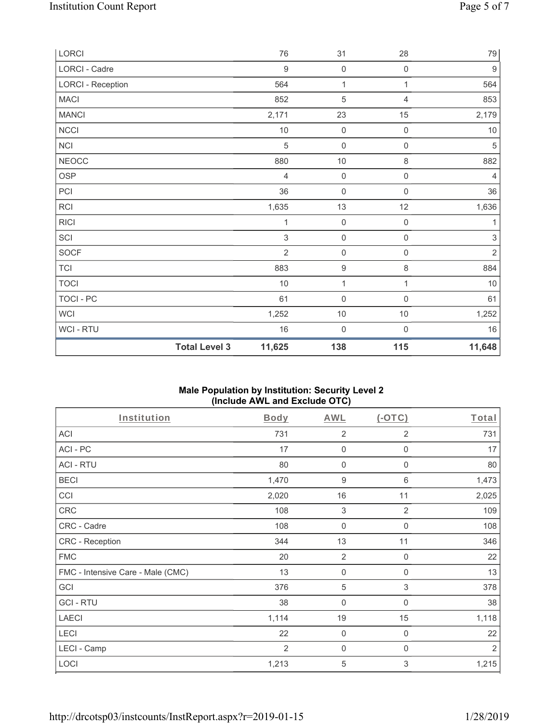| LORCI                    |                      | 76               | 31                  | 28                  | 79               |
|--------------------------|----------------------|------------------|---------------------|---------------------|------------------|
| LORCI - Cadre            |                      | $\boldsymbol{9}$ | $\mathbf 0$         | $\mathsf{O}\xspace$ | $\boldsymbol{9}$ |
| <b>LORCI - Reception</b> |                      | 564              | 1                   | 1                   | 564              |
| <b>MACI</b>              |                      | 852              | $\sqrt{5}$          | 4                   | 853              |
| <b>MANCI</b>             |                      | 2,171            | 23                  | 15                  | 2,179            |
| <b>NCCI</b>              |                      | $10$             | $\mathsf{O}\xspace$ | $\mathbf 0$         | $10$             |
| NCI                      |                      | 5                | $\mathsf{O}\xspace$ | $\mathsf{O}\xspace$ | 5                |
| <b>NEOCC</b>             |                      | 880              | $10$                | 8                   | 882              |
| <b>OSP</b>               |                      | $\overline{4}$   | $\mathbf 0$         | $\mathsf{O}\xspace$ | $\overline{4}$   |
| PCI                      |                      | 36               | $\mathsf{O}\xspace$ | $\mathsf{O}\xspace$ | 36               |
| <b>RCI</b>               |                      | 1,635            | 13                  | 12                  | 1,636            |
| <b>RICI</b>              |                      | 1                | $\mathbf 0$         | $\mathsf{O}\xspace$ | 1                |
| SCI                      |                      | $\mathfrak{S}$   | $\mathsf{O}\xspace$ | $\mathsf 0$         | $\,$ 3 $\,$      |
| <b>SOCF</b>              |                      | $\overline{2}$   | $\mathsf{O}\xspace$ | $\mathsf{O}\xspace$ | $\sqrt{2}$       |
| <b>TCI</b>               |                      | 883              | $\boldsymbol{9}$    | 8                   | 884              |
| <b>TOCI</b>              |                      | 10               | $\mathbf{1}$        | $\mathbf{1}$        | $10$             |
| <b>TOCI - PC</b>         |                      | 61               | $\mathsf{O}\xspace$ | $\mathsf{O}\xspace$ | 61               |
| <b>WCI</b>               |                      | 1,252            | $10$                | $10$                | 1,252            |
| WCI-RTU                  |                      | 16               | $\mathsf{O}\xspace$ | $\mathsf{O}\xspace$ | 16               |
|                          | <b>Total Level 3</b> | 11,625           | 138                 | 115                 | 11,648           |

# **Male Population by Institution: Security Level 2 (Include AWL and Exclude OTC)**

| Institution                       | Body           | <b>AWL</b>                | $(-OTC)$                  | Total          |
|-----------------------------------|----------------|---------------------------|---------------------------|----------------|
| <b>ACI</b>                        | 731            | $\overline{2}$            | 2                         | 731            |
| ACI-PC                            | 17             | $\mathbf 0$               | 0                         | 17             |
| <b>ACI - RTU</b>                  | 80             | $\mathbf 0$               | $\boldsymbol{0}$          | 80             |
| <b>BECI</b>                       | 1,470          | 9                         | 6                         | 1,473          |
| CCI                               | 2,020          | 16                        | 11                        | 2,025          |
| CRC                               | 108            | $\ensuremath{\mathsf{3}}$ | $\overline{2}$            | 109            |
| CRC - Cadre                       | 108            | 0                         | 0                         | 108            |
| CRC - Reception                   | 344            | 13                        | 11                        | 346            |
| <b>FMC</b>                        | 20             | $\overline{2}$            | $\boldsymbol{0}$          | 22             |
| FMC - Intensive Care - Male (CMC) | 13             | $\mathbf 0$               | $\mathbf 0$               | 13             |
| GCI                               | 376            | 5                         | $\ensuremath{\mathsf{3}}$ | 378            |
| <b>GCI-RTU</b>                    | 38             | 0                         | 0                         | 38             |
| <b>LAECI</b>                      | 1,114          | 19                        | 15                        | 1,118          |
| <b>LECI</b>                       | 22             | $\mathbf 0$               | $\boldsymbol{0}$          | 22             |
| LECI - Camp                       | $\overline{2}$ | $\mathbf 0$               | $\mathbf 0$               | $\overline{2}$ |
| LOCI                              | 1,213          | 5                         | 3                         | 1,215          |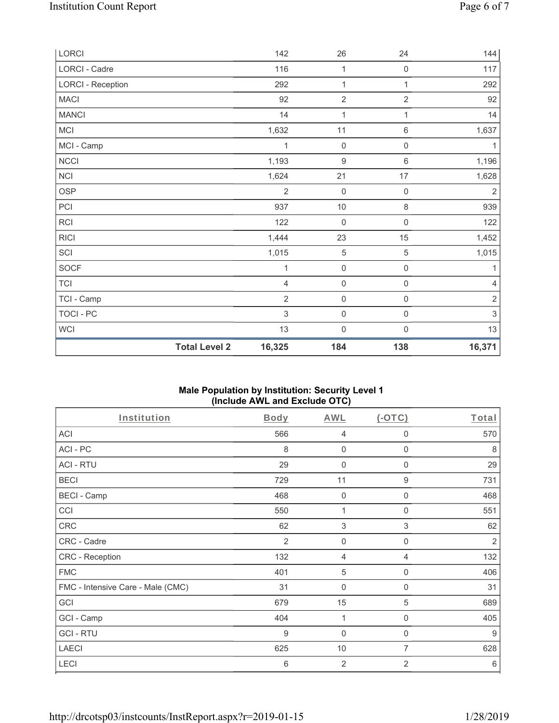| LORCI                    |                      | 142            | 26                  | 24                  | 144            |
|--------------------------|----------------------|----------------|---------------------|---------------------|----------------|
| LORCI - Cadre            |                      | 116            | 1                   | $\mathsf{O}\xspace$ | 117            |
| <b>LORCI - Reception</b> |                      | 292            | $\mathbf{1}$        | $\mathbf{1}$        | 292            |
| <b>MACI</b>              |                      | 92             | $\overline{2}$      | $\overline{2}$      | 92             |
| <b>MANCI</b>             |                      | 14             | 1                   | 1                   | 14             |
| MCI                      |                      | 1,632          | 11                  | $\,6$               | 1,637          |
| MCI - Camp               |                      | 1              | $\mathbf 0$         | $\mathsf 0$         | 1              |
| NCCI                     |                      | 1,193          | $\boldsymbol{9}$    | 6                   | 1,196          |
| <b>NCI</b>               |                      | 1,624          | 21                  | 17                  | 1,628          |
| <b>OSP</b>               |                      | $\overline{2}$ | $\mathsf{O}\xspace$ | $\mathsf{O}\xspace$ | $\overline{2}$ |
| PCI                      |                      | 937            | $10$                | 8                   | 939            |
| <b>RCI</b>               |                      | 122            | $\mathsf{O}\xspace$ | $\mathsf{O}\xspace$ | 122            |
| <b>RICI</b>              |                      | 1,444          | 23                  | 15                  | 1,452          |
| SCI                      |                      | 1,015          | $\,$ 5 $\,$         | $\mathbf 5$         | 1,015          |
| <b>SOCF</b>              |                      | 1              | $\mathsf{O}\xspace$ | $\mathsf{O}\xspace$ | 1              |
| <b>TCI</b>               |                      | $\overline{4}$ | $\mathsf{O}\xspace$ | $\mathsf{O}\xspace$ | $\overline{4}$ |
| TCI - Camp               |                      | $\overline{2}$ | $\mathbf 0$         | $\boldsymbol{0}$    | $\sqrt{2}$     |
| <b>TOCI - PC</b>         |                      | 3              | $\mathbf 0$         | $\mathsf 0$         | $\sqrt{3}$     |
| <b>WCI</b>               |                      | 13             | $\mathsf{O}\xspace$ | $\mathsf{O}\xspace$ | 13             |
|                          | <b>Total Level 2</b> | 16,325         | 184                 | 138                 | 16,371         |

# **Male Population by Institution: Security Level 1 (Include AWL and Exclude OTC)**

| Institution                       | Body | <b>AWL</b>                | $(-OTC)$    | Total          |
|-----------------------------------|------|---------------------------|-------------|----------------|
| <b>ACI</b>                        | 566  | 4                         | 0           | 570            |
| ACI-PC                            | 8    | $\mathbf 0$               | $\mathbf 0$ | 8              |
| <b>ACI - RTU</b>                  | 29   | 0                         | $\mathbf 0$ | 29             |
| <b>BECI</b>                       | 729  | 11                        | 9           | 731            |
| <b>BECI - Camp</b>                | 468  | $\mathbf 0$               | 0           | 468            |
| CCI                               | 550  | 1                         | 0           | 551            |
| <b>CRC</b>                        | 62   | $\ensuremath{\mathsf{3}}$ | 3           | 62             |
| CRC - Cadre                       | 2    | $\mathbf 0$               | $\mathbf 0$ | $\overline{2}$ |
| CRC - Reception                   | 132  | 4                         | 4           | 132            |
| <b>FMC</b>                        | 401  | $\sqrt{5}$                | $\mathbf 0$ | 406            |
| FMC - Intensive Care - Male (CMC) | 31   | 0                         | 0           | 31             |
| GCI                               | 679  | 15                        | 5           | 689            |
| GCI - Camp                        | 404  | 1                         | $\mathbf 0$ | 405            |
| <b>GCI-RTU</b>                    | 9    | $\overline{0}$            | 0           | 9              |
| <b>LAECI</b>                      | 625  | 10                        | 7           | 628            |
| LECI                              | 6    | $\mathbf 2$               | 2           | 6              |